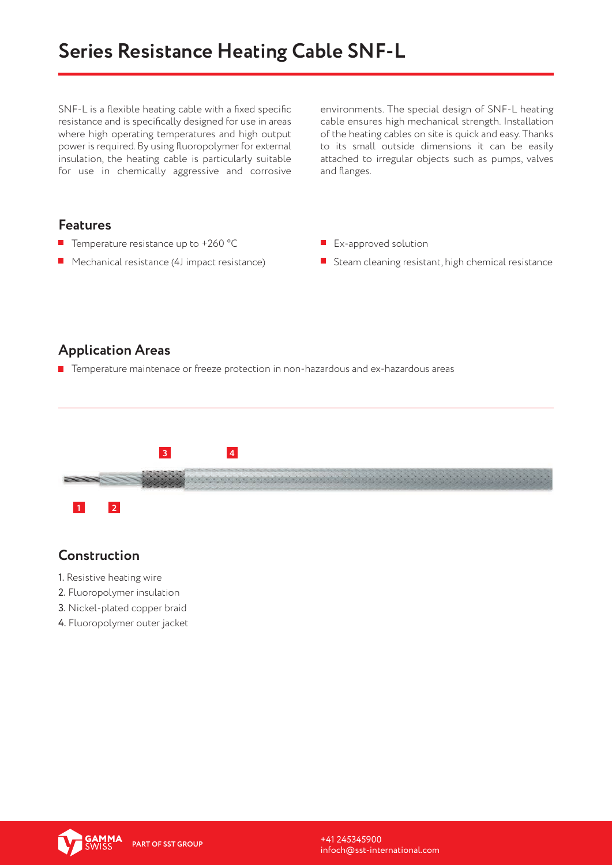# **Series Resistance Heating Cable SNF-L**

SNF-L is a flexible heating cable with a fixed specific resistance and is specifically designed for use in areas where high operating temperatures and high output power is required. By using fluoropolymer for external insulation, the heating cable is particularly suitable for use in chemically aggressive and corrosive environments. The special design of SNF-L heating cable ensures high mechanical strength. Installation of the heating cables on site is quick and easy. Thanks to its small outside dimensions it can be easily attached to irregular objects such as pumps, valves and flanges.

#### **Features**

- $\blacksquare$  Temperature resistance up to +260 °C
- $\blacksquare$  Mechanical resistance (4J impact resistance)
- **Ex-approved solution**
- $\mathbb{Z}$ Steam cleaning resistant, high chemical resistance

#### **Application Areas**

**T** Temperature maintenace or freeze protection in non-hazardous and ex-hazardous areas



## **Construction**

- 1. Resistive heating wire
- 2. Fluoropolymer insulation
- 3. Nickel-plated copper braid
- 4. Fluoropolymer outer jacket